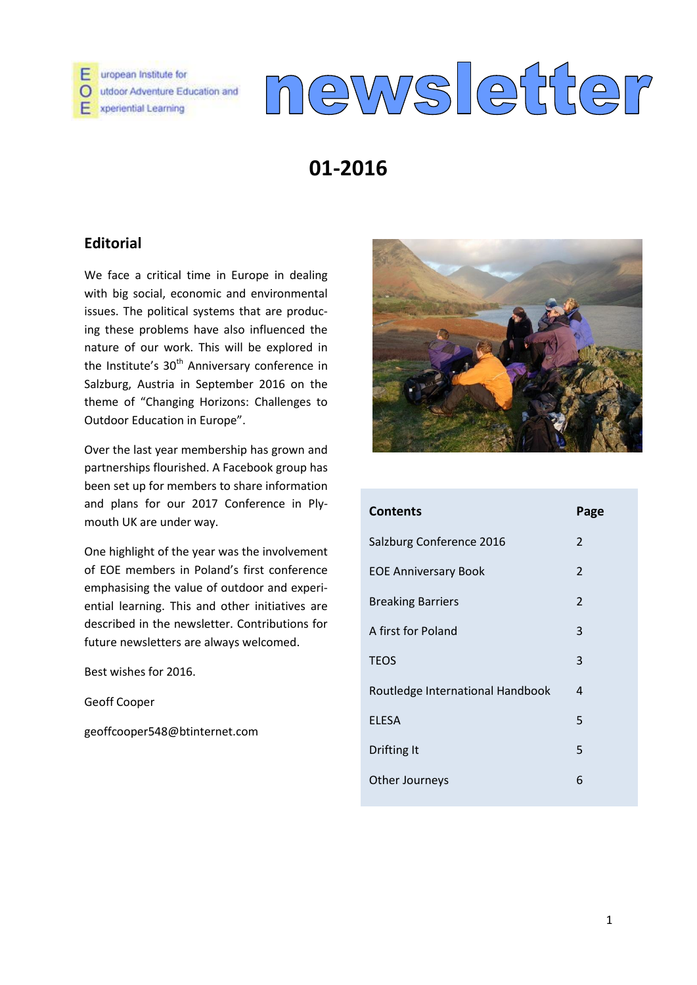

uropean Institute for O utdoor Adventure Education and E xperiential Learning

# newsletter

# **01-2016**

# **Editorial**

We face a critical time in Europe in dealing with big social, economic and environmental issues. The political systems that are producing these problems have also influenced the nature of our work. This will be explored in the Institute's  $30<sup>th</sup>$  Anniversary conference in Salzburg, Austria in September 2016 on the theme of "Changing Horizons: Challenges to Outdoor Education in Europe".

Over the last year membership has grown and partnerships flourished. A Facebook group has been set up for members to share information and plans for our 2017 Conference in Plymouth UK are under way.

One highlight of the year was the involvement of EOE members in Poland's first conference emphasising the value of outdoor and experiential learning. This and other initiatives are described in the newsletter. Contributions for future newsletters are always welcomed.

Best wishes for 2016.

Geoff Cooper

geoffcooper548@btinternet.com



| <b>Contents</b>                  | Page           |
|----------------------------------|----------------|
| Salzburg Conference 2016         | $\overline{2}$ |
| <b>EOE Anniversary Book</b>      | $\overline{2}$ |
| <b>Breaking Barriers</b>         | $\overline{2}$ |
| A first for Poland               | 3              |
| <b>TEOS</b>                      | 3              |
| Routledge International Handbook | 4              |
| <b>ELESA</b>                     | 5              |
| Drifting It                      | 5              |
| Other Journeys                   | 6              |
|                                  |                |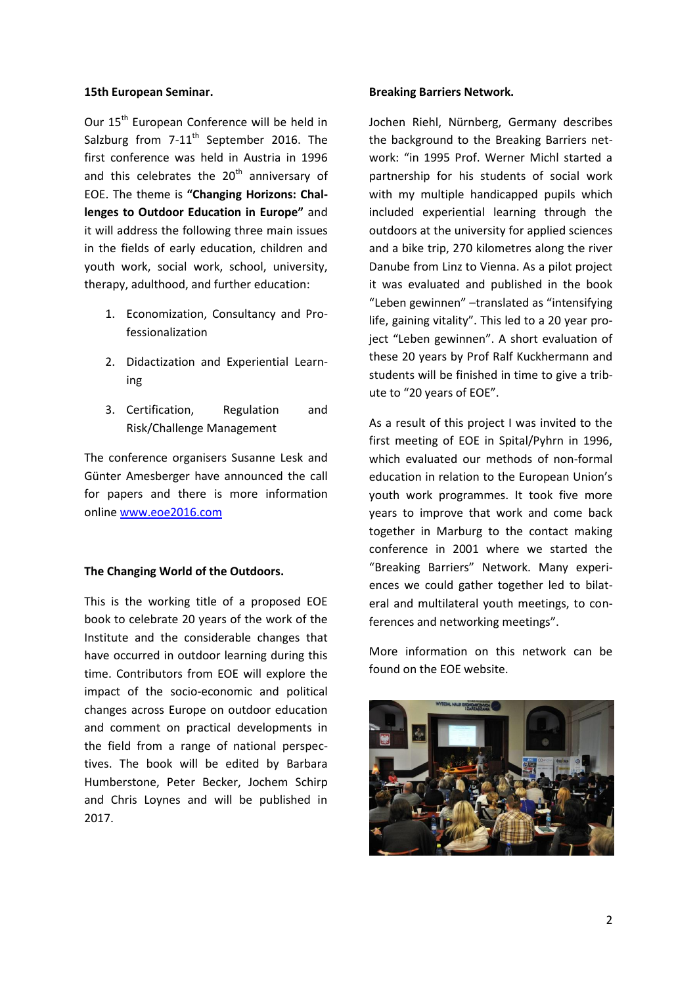#### **15th European Seminar.**

Our 15<sup>th</sup> European Conference will be held in Salzburg from  $7-11$ <sup>th</sup> September 2016. The first conference was held in Austria in 1996 and this celebrates the  $20<sup>th</sup>$  anniversary of EOE. The theme is **"Changing Horizons: Challenges to Outdoor Education in Europe"** and it will address the following three main issues in the fields of early education, children and youth work, social work, school, university, therapy, adulthood, and further education:

- 1. Economization, Consultancy and Professionalization
- 2. Didactization and Experiential Learning
- 3. Certification, Regulation and Risk/Challenge Management

The conference organisers Susanne Lesk and Günter Amesberger have announced the call for papers and there is more information online [www.eoe2016.com](http://www.eoe2016.com/)

#### **The Changing World of the Outdoors.**

This is the working title of a proposed EOE book to celebrate 20 years of the work of the Institute and the considerable changes that have occurred in outdoor learning during this time. Contributors from EOE will explore the impact of the socio-economic and political changes across Europe on outdoor education and comment on practical developments in the field from a range of national perspectives. The book will be edited by Barbara Humberstone, Peter Becker, Jochem Schirp and Chris Loynes and will be published in 2017.

#### **Breaking Barriers Network.**

Jochen Riehl, Nürnberg, Germany describes the background to the Breaking Barriers network: "in 1995 Prof. Werner Michl started a partnership for his students of social work with my multiple handicapped pupils which included experiential learning through the outdoors at the university for applied sciences and a bike trip, 270 kilometres along the river Danube from Linz to Vienna. As a pilot project it was evaluated and published in the book "Leben gewinnen" –translated as "intensifying life, gaining vitality". This led to a 20 year project "Leben gewinnen". A short evaluation of these 20 years by Prof Ralf Kuckhermann and students will be finished in time to give a tribute to "20 years of EOE".

As a result of this project I was invited to the first meeting of EOE in Spital/Pyhrn in 1996, which evaluated our methods of non-formal education in relation to the European Union's youth work programmes. It took five more years to improve that work and come back together in Marburg to the contact making conference in 2001 where we started the "Breaking Barriers" Network. Many experiences we could gather together led to bilateral and multilateral youth meetings, to conferences and networking meetings".

More information on this network can be found on the EOE website.

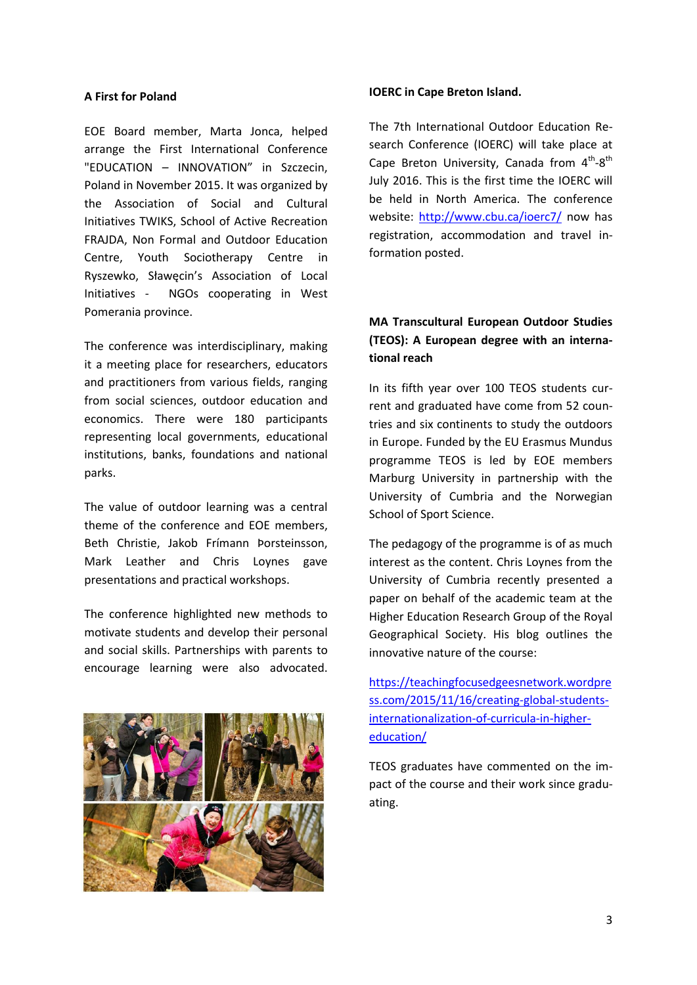#### **A First for Poland**

EOE Board member, Marta Jonca, helped arrange the First International Conference "EDUCATION – INNOVATION" in Szczecin, Poland in November 2015. It was organized by the Association of Social and Cultural Initiatives TWIKS, School of Active Recreation FRAJDA, Non Formal and Outdoor Education Centre, Youth Sociotherapy Centre in Ryszewko, Sławęcin's Association of Local Initiatives - NGOs cooperating in West Pomerania province.

The conference was interdisciplinary, making it a meeting place for researchers, educators and practitioners from various fields, ranging from social sciences, outdoor education and economics. There were 180 participants representing local governments, educational institutions, banks, foundations and national parks.

The value of outdoor learning was a central theme of the conference and EOE members, Beth Christie, Jakob Frímann Þorsteinsson, Mark Leather and Chris Loynes gave presentations and practical workshops.

The conference highlighted new methods to motivate students and develop their personal and social skills. Partnerships with parents to encourage learning were also advocated.



#### **IOERC in Cape Breton Island.**

The 7th International Outdoor Education Research Conference (IOERC) will take place at Cape Breton University, Canada from  $4^{th} - 8^{th}$ July 2016. This is the first time the IOERC will be held in North America. The conference website:<http://www.cbu.ca/ioerc7/> now has registration, accommodation and travel information posted.

## **MA Transcultural European Outdoor Studies (TEOS): A European degree with an international reach**

In its fifth year over 100 TEOS students current and graduated have come from 52 countries and six continents to study the outdoors in Europe. Funded by the EU Erasmus Mundus programme TEOS is led by EOE members Marburg University in partnership with the University of Cumbria and the Norwegian School of Sport Science.

The pedagogy of the programme is of as much interest as the content. Chris Loynes from the University of Cumbria recently presented a paper on behalf of the academic team at the Higher Education Research Group of the Royal Geographical Society. His blog outlines the innovative nature of the course:

[https://teachingfocusedgeesnetwork.wordpre](https://teachingfocusedgeesnetwork.wordpress.com/2015/11/16/creating-global-students-internationalization-of-curricula-in-higher-education/) [ss.com/2015/11/16/creating-global-students](https://teachingfocusedgeesnetwork.wordpress.com/2015/11/16/creating-global-students-internationalization-of-curricula-in-higher-education/)[internationalization-of-curricula-in-higher](https://teachingfocusedgeesnetwork.wordpress.com/2015/11/16/creating-global-students-internationalization-of-curricula-in-higher-education/)[education/](https://teachingfocusedgeesnetwork.wordpress.com/2015/11/16/creating-global-students-internationalization-of-curricula-in-higher-education/)

TEOS graduates have commented on the impact of the course and their work since graduating.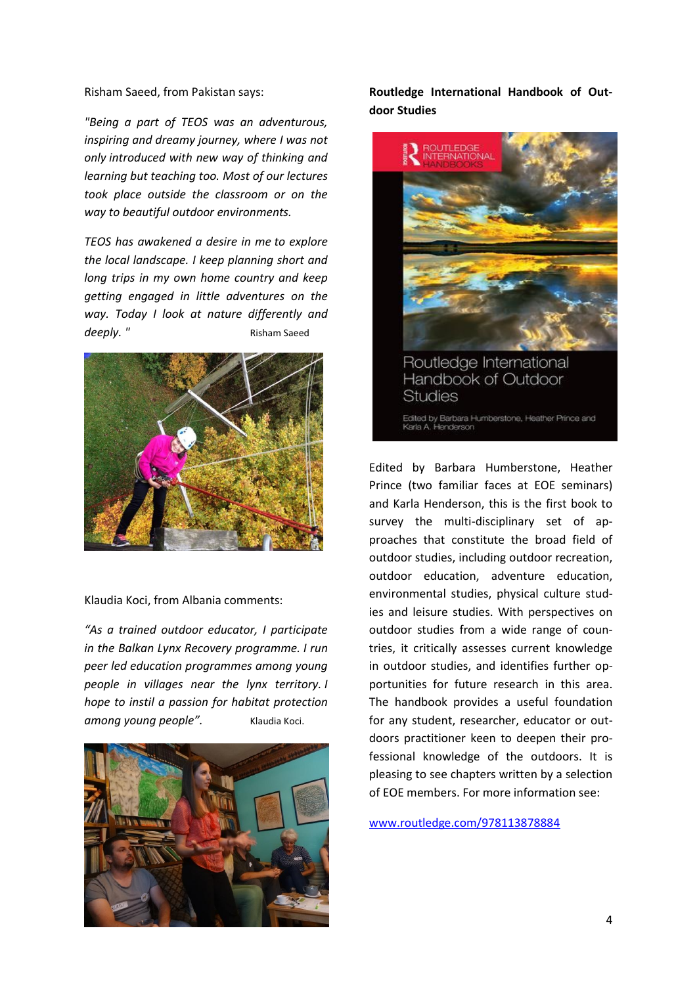Risham Saeed, from Pakistan says:

*"Being a part of TEOS was an adventurous, inspiring and dreamy journey, where I was not only introduced with new way of thinking and learning but teaching too. Most of our lectures took place outside the classroom or on the way to beautiful outdoor environments.*

*TEOS has awakened a desire in me to explore the local landscape. I keep planning short and long trips in my own home country and keep getting engaged in little adventures on the way. Today I look at nature differently and deeply.* " Risham Saeed



Klaudia Koci, from Albania comments:

*"As a trained outdoor educator, I participate in the Balkan Lynx Recovery programme. I run peer led education programmes among young people in villages near the lynx territory. I hope to instil a passion for habitat protection*  among young people". Klaudia Koci.



**Routledge International Handbook of Outdoor Studies**



Edited by [Barbara Humberstone,](https://www.routledge.com/products/search?author=Barbara%20Humberstone) [Heather](https://www.routledge.com/products/search?author=Heather%20Prince)  [Prince](https://www.routledge.com/products/search?author=Heather%20Prince) (two familiar faces at EOE seminars) and [Karla Henderson,](https://www.routledge.com/products/search?author=Karla%20A.%20Henderson) this is the first book to survey the multi-disciplinary set of approaches that constitute the broad field of outdoor studies, including outdoor recreation, outdoor education, adventure education, environmental studies, physical culture studies and leisure studies. With perspectives on outdoor studies from a wide range of countries, it critically assesses current knowledge in outdoor studies, and identifies further opportunities for future research in this area. The handbook provides a useful foundation for any student, researcher, educator or outdoors practitioner keen to deepen their professional knowledge of the outdoors. It is pleasing to see chapters written by a selection of EOE members. For more information see:

[www.routledge.com/978113878884](http://www.routledge.com/978113878884)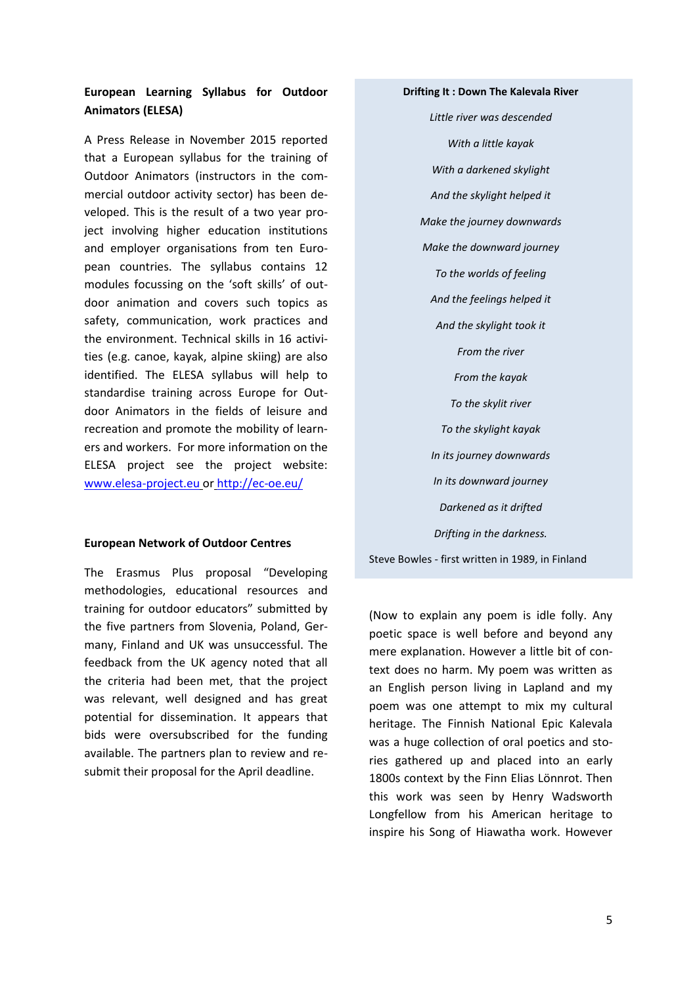### **European Learning Syllabus for Outdoor Animators (ELESA)**

A Press Release in November 2015 reported that a European syllabus for the training of Outdoor Animators (instructors in the commercial outdoor activity sector) has been developed. This is the result of a two year project involving higher education institutions and employer organisations from ten European countries. The syllabus contains 12 modules focussing on the 'soft skills' of outdoor animation and covers such topics as safety, communication, work practices and the environment. Technical skills in 16 activities (e.g. canoe, kayak, alpine skiing) are also identified. The ELESA syllabus will help to standardise training across Europe for Outdoor Animators in the fields of leisure and recreation and promote the mobility of learners and workers. For more information on the ELESA project see the project website: [www.elesa-project.eu](http://www.elesa-project.eu/) or <http://ec-oe.eu/>

#### **European Network of Outdoor Centres**

The Erasmus Plus proposal "Developing methodologies, educational resources and training for outdoor educators" submitted by the five partners from Slovenia, Poland, Germany, Finland and UK was unsuccessful. The feedback from the UK agency noted that all the criteria had been met, that the project was relevant, well designed and has great potential for dissemination. It appears that bids were oversubscribed for the funding available. The partners plan to review and resubmit their proposal for the April deadline.

#### **Drifting It : Down The Kalevala River**

*Little river was descended With a little kayak With a darkened skylight And the skylight helped it Make the journey downwards Make the downward journey To the worlds of feeling And the feelings helped it And the skylight took it From the river From the kayak To the skylit river To the skylight kayak In its journey downwards In its downward journey Darkened as it drifted Drifting in the darkness.*

Steve Bowles - first written in 1989, in Finland

(Now to explain any poem is idle folly. Any poetic space is well before and beyond any mere explanation. However a little bit of context does no harm. My poem was written as an English person living in Lapland and my poem was one attempt to mix my cultural heritage. The Finnish National Epic Kalevala was a huge collection of oral poetics and stories gathered up and placed into an early 1800s context by the Finn Elias Lönnrot. Then this work was seen by Henry Wadsworth Longfellow from his American heritage to inspire his Song of Hiawatha work. However